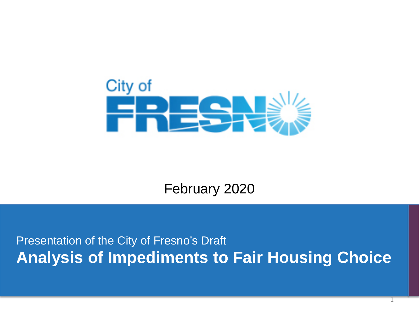

February 2020

Presentation of the City of Fresno's Draft **Analysis of Impediments to Fair Housing Choice**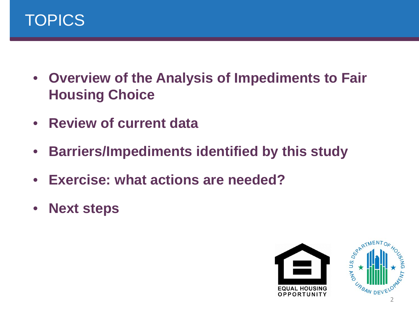

- **Overview of the Analysis of Impediments to Fair Housing Choice**
- **Review of current data**
- **Barriers/Impediments identified by this study**
- **Exercise: what actions are needed?**
- **Next steps**

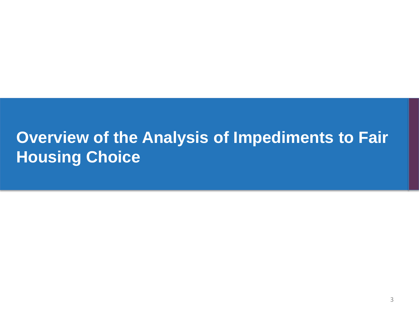## **Overview of the Analysis of Impediments to Fair Housing Choice**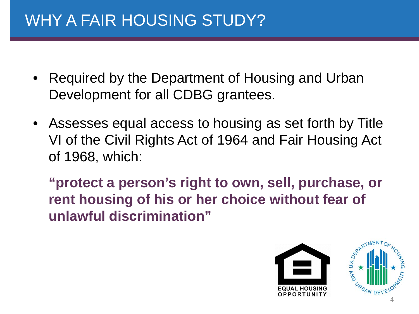## WHY A FAIR HOUSING STUDY?

- Required by the Department of Housing and Urban Development for all CDBG grantees.
- Assesses equal access to housing as set forth by Title VI of the Civil Rights Act of 1964 and Fair Housing Act of 1968, which:

**"protect a person's right to own, sell, purchase, or rent housing of his or her choice without fear of unlawful discrimination"** 

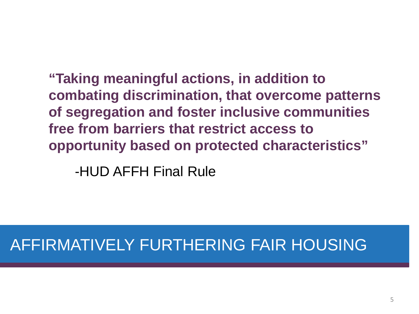**"Taking meaningful actions, in addition to combating discrimination, that overcome patterns of segregation and foster inclusive communities free from barriers that restrict access to opportunity based on protected characteristics"**

-HUD AFFH Final Rule

## AFFIRMATIVELY FURTHERING FAIR HOUSING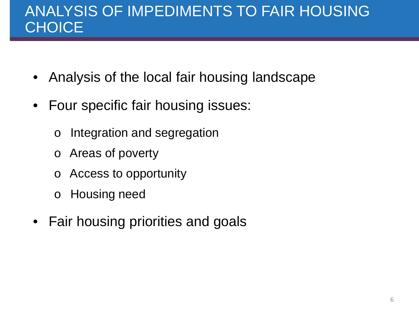#### ANALYSIS OF IMPEDIMENTS TO FAIR HOUSING **CHOICE**

- Analysis of the local fair housing landscape
- Four specific fair housing issues:
	- o Integration and segregation
	- o Areas of poverty
	- o Access to opportunity
	- o Housing need
- Fair housing priorities and goals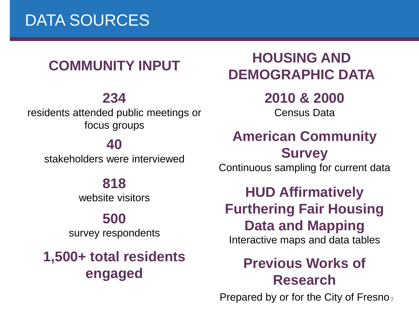#### **COMMUNITY INPUT**

#### **234**

residents attended public meetings or focus groups

#### **40**

stakeholders were interviewed

#### **818**

website visitors

#### **500**

survey respondents

**1,500+ total residents engaged**

### **HOUSING AND DEMOGRAPHIC DATA**

**2010 & 2000** Census Data

#### **American Community Survey**

Continuous sampling for current data

**HUD Affirmatively Furthering Fair Housing Data and Mapping**

Interactive maps and data tables

#### **Previous Works of Research**

Prepared by or for the City of Fresno<sub>7</sub>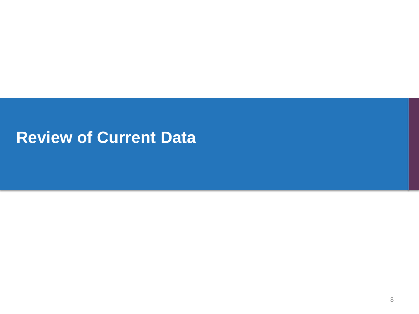## **Review of Current Data**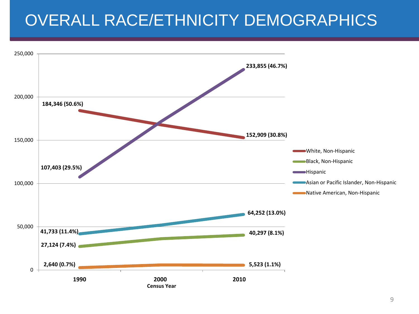## OVERALL RACE/ETHNICITY DEMOGRAPHICS

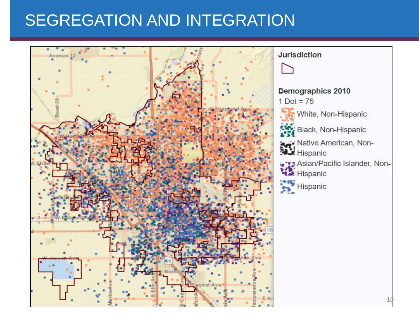## SEGREGATION AND INTEGRATION

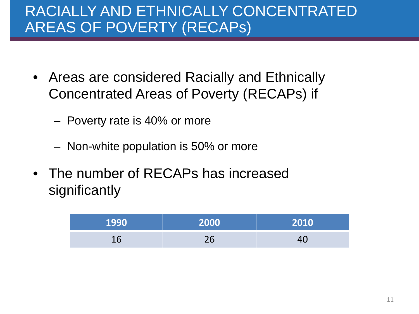### RACIALLY AND ETHNICALLY CONCENTRATED AREAS OF POVERTY (RECAPs)

- Areas are considered Racially and Ethnically Concentrated Areas of Poverty (RECAPs) if
	- Poverty rate is 40% or more
	- Non-white population is 50% or more
- The number of RECAPs has increased significantly

| 1990 | 2000      | 2010 |
|------|-----------|------|
|      | $\bigcap$ |      |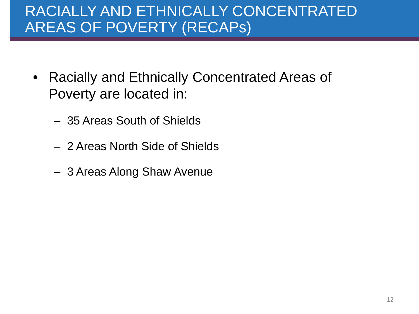#### RACIALLY AND ETHNICALLY CONCENTRATED AREAS OF POVERTY (RECAPs)

- Racially and Ethnically Concentrated Areas of Poverty are located in:
	- 35 Areas South of Shields
	- 2 Areas North Side of Shields
	- 3 Areas Along Shaw Avenue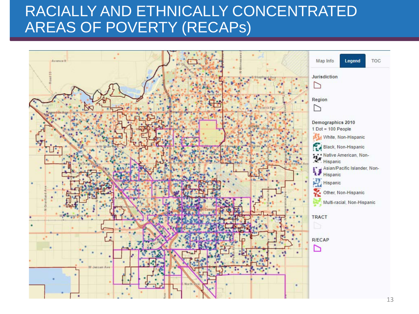#### RACIALLY AND ETHNICALLY CONCENTRATED AREAS OF POVERTY (RECAPs)

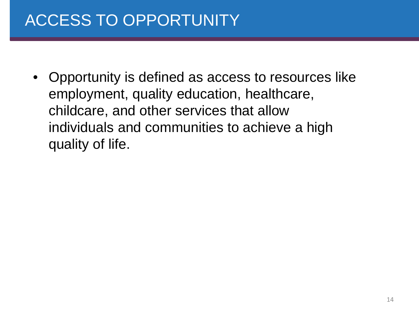## ACCESS TO OPPORTUNITY

• Opportunity is defined as access to resources like employment, quality education, healthcare, childcare, and other services that allow individuals and communities to achieve a high quality of life.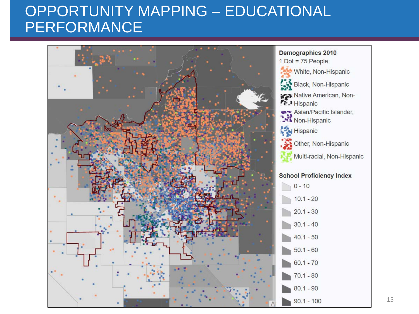#### OPPORTUNITY MAPPING – EDUCATIONAL PERFORMANCE

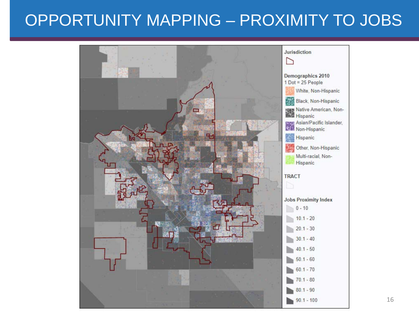## OPPORTUNITY MAPPING – PROXIMITY TO JOBS

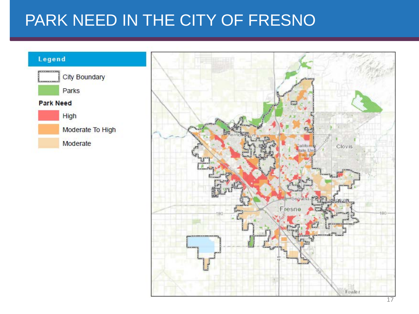## PARK NEED IN THE CITY OF FRESNO

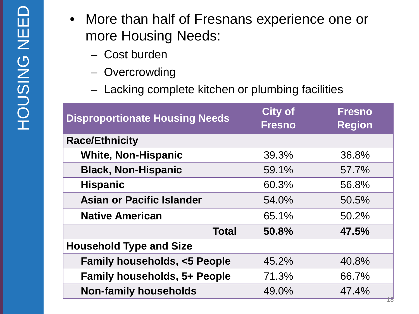- More than half of Fresnans experience one or more Housing Needs:
	- Cost burden
	- Overcrowding
	- Lacking complete kitchen or plumbing facilities

| <b>Disproportionate Housing Needs</b>  | <b>City of</b><br><b>Fresno</b> | <b>Fresno</b><br><b>Region</b> |  |  |  |  |  |
|----------------------------------------|---------------------------------|--------------------------------|--|--|--|--|--|
| <b>Race/Ethnicity</b>                  |                                 |                                |  |  |  |  |  |
| <b>White, Non-Hispanic</b>             | 39.3%                           | 36.8%                          |  |  |  |  |  |
| <b>Black, Non-Hispanic</b>             | 59.1%                           | 57.7%                          |  |  |  |  |  |
| <b>Hispanic</b>                        | 60.3%                           | 56.8%                          |  |  |  |  |  |
| <b>Asian or Pacific Islander</b>       | 54.0%                           | 50.5%                          |  |  |  |  |  |
| <b>Native American</b>                 | 65.1%                           | 50.2%                          |  |  |  |  |  |
| <b>Total</b>                           | 50.8%                           | 47.5%                          |  |  |  |  |  |
| <b>Household Type and Size</b>         |                                 |                                |  |  |  |  |  |
| <b>Family households, &lt;5 People</b> | 45.2%                           | 40.8%                          |  |  |  |  |  |
| <b>Family households, 5+ People</b>    | 71.3%                           | 66.7%                          |  |  |  |  |  |
| <b>Non-family households</b>           | 49.0%                           | 47.4%                          |  |  |  |  |  |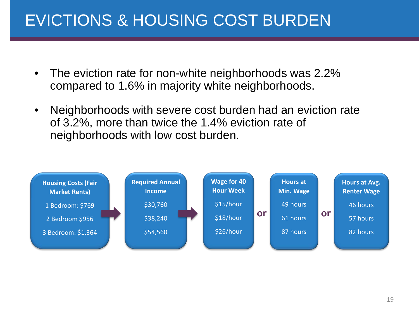## EVICTIONS & HOUSING COST BURDEN

- The eviction rate for non-white neighborhoods was 2.2% compared to 1.6% in majority white neighborhoods.
- Neighborhoods with severe cost burden had an eviction rate of 3.2%, more than twice the 1.4% eviction rate of neighborhoods with low cost burden.

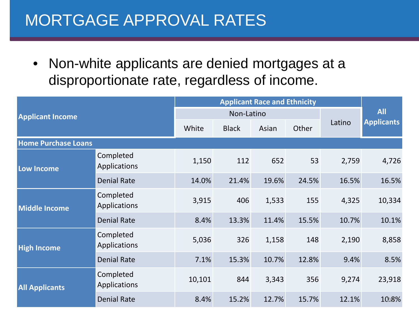#### MORTGAGE APPROVAL RATES

• Non-white applicants are denied mortgages at a disproportionate rate, regardless of income.

| <b>Applicant Income</b>    |                           | <b>Applicant Race and Ethnicity</b> |              |       |       |            |                   |
|----------------------------|---------------------------|-------------------------------------|--------------|-------|-------|------------|-------------------|
|                            |                           | Non-Latino                          |              |       |       | <b>All</b> |                   |
|                            |                           | White                               | <b>Black</b> | Asian | Other | Latino     | <b>Applicants</b> |
| <b>Home Purchase Loans</b> |                           |                                     |              |       |       |            |                   |
| Low Income                 | Completed<br>Applications | 1,150                               | 112          | 652   | 53    | 2,759      | 4,726             |
|                            | <b>Denial Rate</b>        | 14.0%                               | 21.4%        | 19.6% | 24.5% | 16.5%      | 16.5%             |
| <b>Middle Income</b>       | Completed<br>Applications | 3,915                               | 406          | 1,533 | 155   | 4,325      | 10,334            |
|                            | <b>Denial Rate</b>        | 8.4%                                | 13.3%        | 11.4% | 15.5% | 10.7%      | 10.1%             |
| <b>High Income</b>         | Completed<br>Applications | 5,036                               | 326          | 1,158 | 148   | 2,190      | 8,858             |
|                            | <b>Denial Rate</b>        | 7.1%                                | 15.3%        | 10.7% | 12.8% | 9.4%       | 8.5%              |
| <b>All Applicants</b>      | Completed<br>Applications | 10,101                              | 844          | 3,343 | 356   | 9,274      | 23,918            |
|                            | <b>Denial Rate</b>        | 8.4%                                | 15.2%        | 12.7% | 15.7% | 12.1%      | 10.8%             |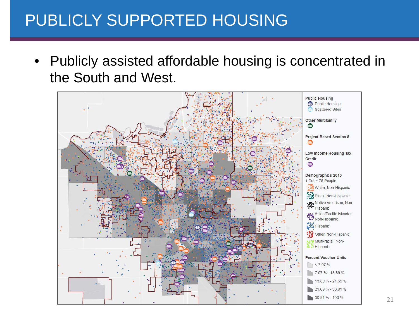## PUBLICLY SUPPORTED HOUSING

• Publicly assisted affordable housing is concentrated in the South and West.

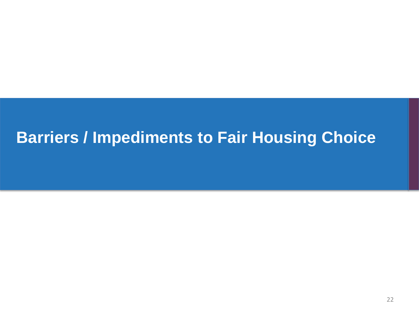## **Barriers / Impediments to Fair Housing Choice**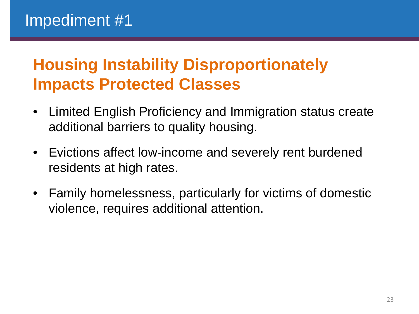## **Housing Instability Disproportionately Impacts Protected Classes**

- Limited English Proficiency and Immigration status create additional barriers to quality housing.
- Evictions affect low-income and severely rent burdened residents at high rates.
- Family homelessness, particularly for victims of domestic violence, requires additional attention.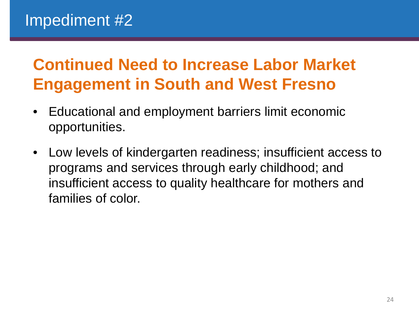# **Continued Need to Increase Labor Market Engagement in South and West Fresno**

- Educational and employment barriers limit economic opportunities.
- Low levels of kindergarten readiness; insufficient access to programs and services through early childhood; and insufficient access to quality healthcare for mothers and families of color.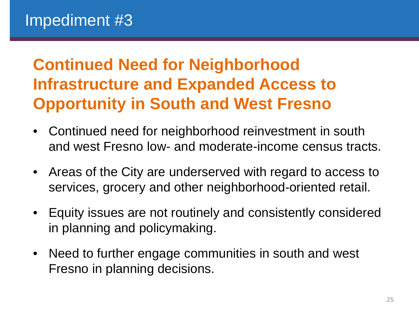# **Continued Need for Neighborhood Infrastructure and Expanded Access to Opportunity in South and West Fresno**

- Continued need for neighborhood reinvestment in south and west Fresno low- and moderate-income census tracts.
- Areas of the City are underserved with regard to access to services, grocery and other neighborhood-oriented retail.
- Equity issues are not routinely and consistently considered in planning and policymaking.
- Need to further engage communities in south and west Fresno in planning decisions.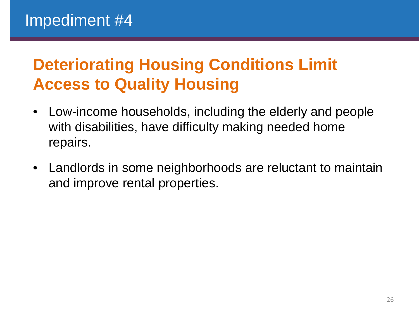# **Deteriorating Housing Conditions Limit Access to Quality Housing**

- Low-income households, including the elderly and people with disabilities, have difficulty making needed home repairs.
- Landlords in some neighborhoods are reluctant to maintain and improve rental properties.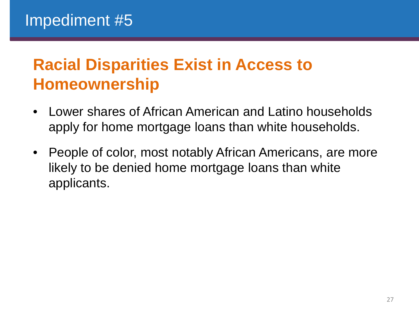## **Racial Disparities Exist in Access to Homeownership**

- Lower shares of African American and Latino households apply for home mortgage loans than white households.
- People of color, most notably African Americans, are more likely to be denied home mortgage loans than white applicants.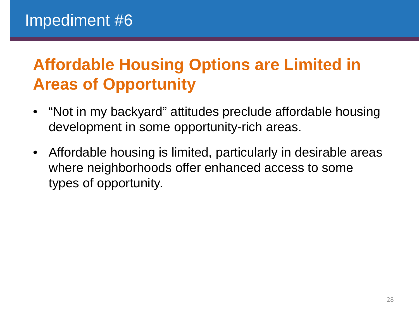# **Affordable Housing Options are Limited in Areas of Opportunity**

- "Not in my backyard" attitudes preclude affordable housing development in some opportunity-rich areas.
- Affordable housing is limited, particularly in desirable areas where neighborhoods offer enhanced access to some types of opportunity.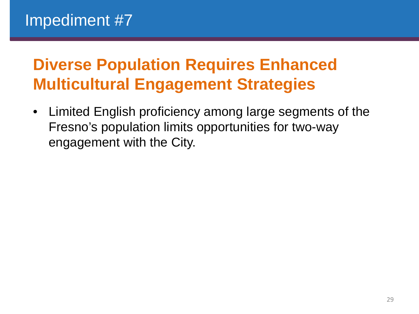# **Diverse Population Requires Enhanced Multicultural Engagement Strategies**

• Limited English proficiency among large segments of the Fresno's population limits opportunities for two-way engagement with the City.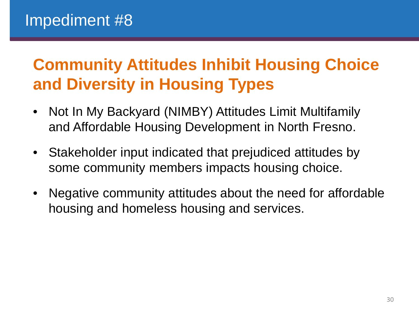# **Community Attitudes Inhibit Housing Choice and Diversity in Housing Types**

- Not In My Backyard (NIMBY) Attitudes Limit Multifamily and Affordable Housing Development in North Fresno.
- Stakeholder input indicated that prejudiced attitudes by some community members impacts housing choice.
- Negative community attitudes about the need for affordable housing and homeless housing and services.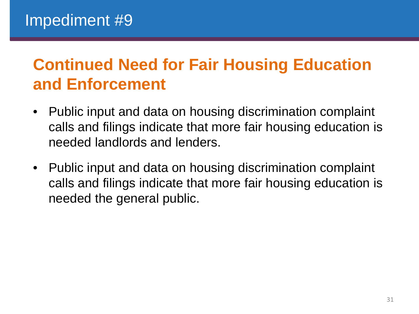# **Continued Need for Fair Housing Education and Enforcement**

- Public input and data on housing discrimination complaint calls and filings indicate that more fair housing education is needed landlords and lenders.
- Public input and data on housing discrimination complaint calls and filings indicate that more fair housing education is needed the general public.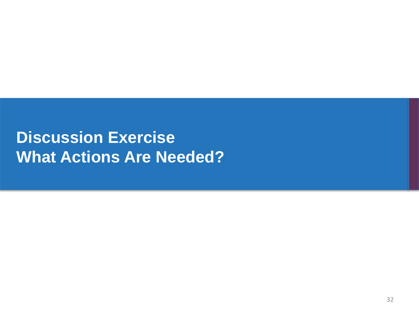## **Discussion Exercise What Actions Are Needed?**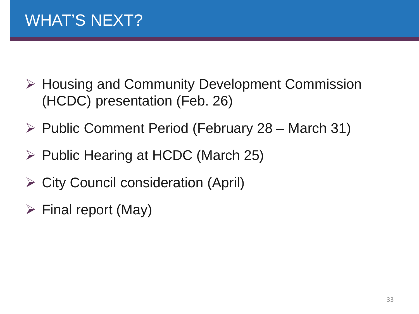- $\triangleright$  Housing and Community Development Commission (HCDC) presentation (Feb. 26)
- $\triangleright$  Public Comment Period (February 28 March 31)
- $\triangleright$  Public Hearing at HCDC (March 25)
- $\triangleright$  City Council consideration (April)
- $\triangleright$  Final report (May)